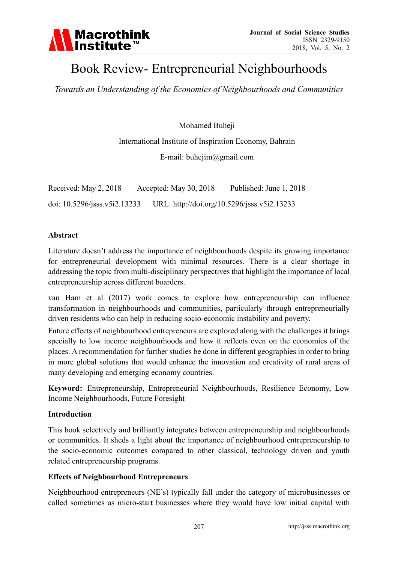

# Book Review- Entrepreneurial Neighbourhoods

*Towards an Understanding of the Economies of Neighbourhoods and Communities* 

Mohamed Buheji

International Institute of Inspiration Economy, Bahrain

E-mail: buhejim@gmail.com

Received: May 2, 2018 Accepted: May 30, 2018 Published: June 1, 2018 doi: 10.5296/jsss.v5i2.13233 URL: http://doi.org/10.5296/jsss.v5i2.13233

#### **Abstract**

Literature doesn't address the importance of neighbourhoods despite its growing importance for entrepreneurial development with minimal resources. There is a clear shortage in addressing the topic from multi-disciplinary perspectives that highlight the importance of local entrepreneurship across different boarders.

van Ham et al (2017) work comes to explore how entrepreneurship can influence transformation in neighbourhoods and communities, particularly through entrepreneurially driven residents who can help in reducing socio-economic instability and poverty.

Future effects of neighbourhood entrepreneurs are explored along with the challenges it brings specially to low income neighbourhoods and how it reflects even on the economics of the places. A recommendation for further studies be done in different geographies in order to bring in more global solutions that would enhance the innovation and creativity of rural areas of many developing and emerging economy countries.

**Keyword:** Entrepreneurship, Entrepreneurial Neighbourhoods, Resilience Economy, Low Income Neighbourhoods, Future Foresight

# **Introduction**

This book selectively and brilliantly integrates between entrepreneurship and neighbourhoods or communities. It sheds a light about the importance of neighbourhood entrepreneurship to the socio-economic outcomes compared to other classical, technology driven and youth related entrepreneurship programs.

# **Effects of Neighbourhood Entrepreneurs**

Neighbourhood entrepreneurs (NE's) typically fall under the category of microbusinesses or called sometimes as micro-start businesses where they would have low initial capital with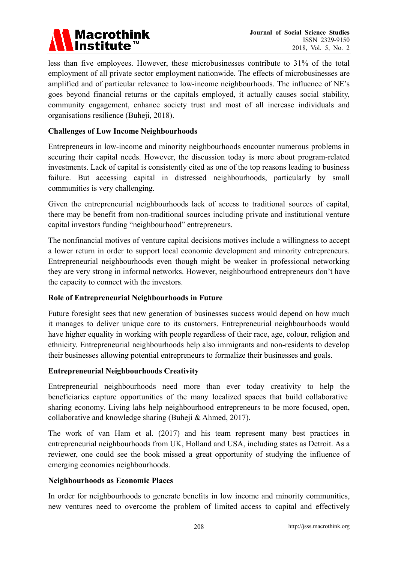# Macrothink<br>Institute™

less than five employees. However, these microbusinesses contribute to 31% of the total employment of all private sector employment nationwide. The effects of microbusinesses are amplified and of particular relevance to low-income neighbourhoods. The influence of NE's goes beyond financial returns or the capitals employed, it actually causes social stability, community engagement, enhance society trust and most of all increase individuals and organisations resilience (Buheji, 2018).

# **Challenges of Low Income Neighbourhoods**

Entrepreneurs in low-income and minority neighbourhoods encounter numerous problems in securing their capital needs. However, the discussion today is more about program-related investments. Lack of capital is consistently cited as one of the top reasons leading to business failure. But accessing capital in distressed neighbourhoods, particularly by small communities is very challenging.

Given the entrepreneurial neighbourhoods lack of access to traditional sources of capital, there may be benefit from non-traditional sources including private and institutional venture capital investors funding "neighbourhood" entrepreneurs.

The nonfinancial motives of venture capital decisions motives include a willingness to accept a lower return in order to support local economic development and minority entrepreneurs. Entrepreneurial neighbourhoods even though might be weaker in professional networking they are very strong in informal networks. However, neighbourhood entrepreneurs don't have the capacity to connect with the investors.

# **Role of Entrepreneurial Neighbourhoods in Future**

Future foresight sees that new generation of businesses success would depend on how much it manages to deliver unique care to its customers. Entrepreneurial neighbourhoods would have higher equality in working with people regardless of their race, age, colour, religion and ethnicity. Entrepreneurial neighbourhoods help also immigrants and non-residents to develop their businesses allowing potential entrepreneurs to formalize their businesses and goals.

# **Entrepreneurial Neighbourhoods Creativity**

Entrepreneurial neighbourhoods need more than ever today creativity to help the beneficiaries capture opportunities of the many localized spaces that build collaborative sharing economy. Living labs help neighbourhood entrepreneurs to be more focused, open, collaborative and knowledge sharing (Buheji & Ahmed, 2017).

The work of van Ham et al. (2017) and his team represent many best practices in entrepreneurial neighbourhoods from UK, Holland and USA, including states as Detroit. As a reviewer, one could see the book missed a great opportunity of studying the influence of emerging economies neighbourhoods.

# **Neighbourhoods as Economic Places**

In order for neighbourhoods to generate benefits in low income and minority communities, new ventures need to overcome the problem of limited access to capital and effectively